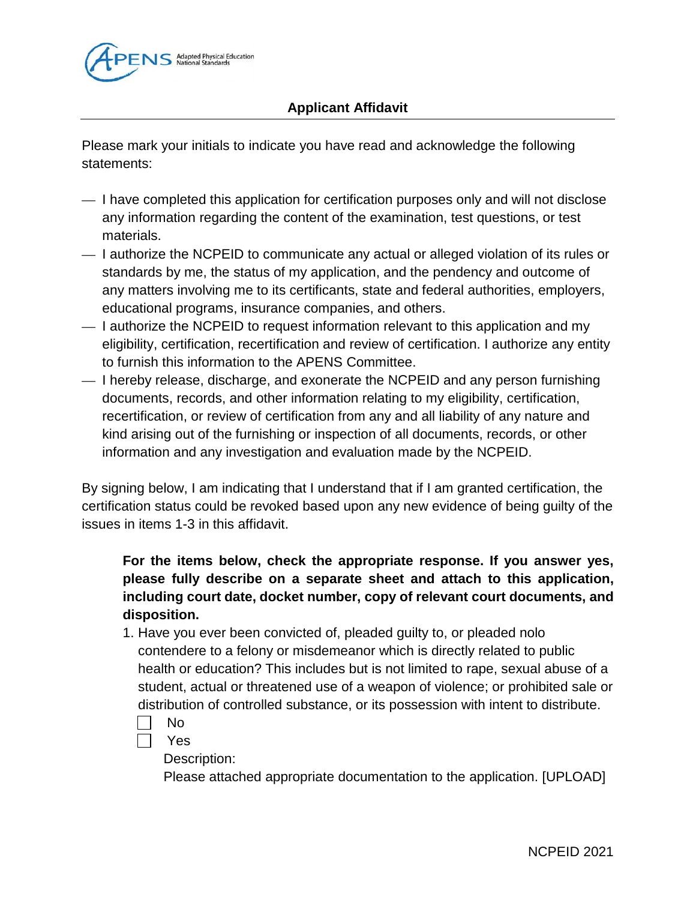

## **Applicant Affidavit**

Please mark your initials to indicate you have read and acknowledge the following statements:

- I have completed this application for certification purposes only and will not disclose any information regarding the content of the examination, test questions, or test materials.
- I authorize the NCPEID to communicate any actual or alleged violation of its rules or standards by me, the status of my application, and the pendency and outcome of any matters involving me to its certificants, state and federal authorities, employers, educational programs, insurance companies, and others.
- I authorize the NCPEID to request information relevant to this application and my eligibility, certification, recertification and review of certification. I authorize any entity to furnish this information to the APENS Committee.
- I hereby release, discharge, and exonerate the NCPEID and any person furnishing documents, records, and other information relating to my eligibility, certification, recertification, or review of certification from any and all liability of any nature and kind arising out of the furnishing or inspection of all documents, records, or other information and any investigation and evaluation made by the NCPEID.

By signing below, I am indicating that I understand that if I am granted certification, the certification status could be revoked based upon any new evidence of being guilty of the issues in items 1-3 in this affidavit.

## **For the items below, check the appropriate response. If you answer yes, please fully describe on a separate sheet and attach to this application, including court date, docket number, copy of relevant court documents, and disposition.**

- 1. Have you ever been convicted of, pleaded guilty to, or pleaded nolo contendere to a felony or misdemeanor which is directly related to public health or education? This includes but is not limited to rape, sexual abuse of a student, actual or threatened use of a weapon of violence; or prohibited sale or distribution of controlled substance, or its possession with intent to distribute.
	- No
	- Yes

Description:

Please attached appropriate documentation to the application. [UPLOAD]